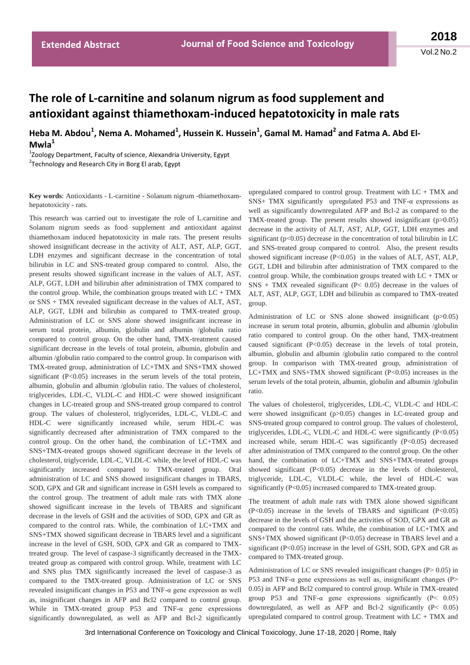## **The role of L-carnitine and solanum nigrum as food supplement and antioxidant against thiamethoxam-induced hepatotoxicity in male rats**

Heba M. Abdou<sup>1</sup>, Nema A. Mohamed<sup>1</sup>, Hussein K. Hussein<sup>1</sup>, Gamal M. Hamad<sup>2</sup> and Fatma A. Abd El-**Mwla<sup>1</sup>**

1 Zoology Department, Faculty of science, Alexandria University, Egypt <sup>2</sup>Technology and Research City in Borg El arab, Egypt

**Key words**: Antioxidants - L-carnitine - Solanum nigrum -thiamethoxamhepatotoxicity - rats.

This research was carried out to investigate the role of L.carnitine and Solanum nigrum seeds as food supplement and antioxidant against thiamethoxam induced hepatotoxicity in male rats. The present results showed insignificant decrease in the activity of ALT, AST, ALP, GGT, LDH enzymes and significant decrease in the concentration of total bilirubin in LC and SNS-treated group compared to control. Also, the present results showed significant increase in the values of ALT, AST, ALP, GGT, LDH and bilirubin after administration of TMX compared to the control group. While, the combination groups treated with  $LC + TMX$ or SNS + TMX revealed significant decrease in the values of ALT, AST, ALP, GGT, LDH and bilirubin as compared to TMX-treated group. Administration of LC or SNS alone showed insignificant increase in serum total protein, albumin, globulin and albumin /globulin ratio compared to control group. On the other hand, TMX-treatment caused significant decrease in the levels of total protein, albumin, globulin and albumin /globulin ratio compared to the control group. In comparison with TMX-treated group, administration of LC+TMX and SNS+TMX showed significant  $(P<0.05)$  increases in the serum levels of the total protein, albumin, globulin and albumin /globulin ratio. The values of cholesterol, triglycerides, LDL-C, VLDL-C and HDL-C were showed insignificant changes in LC-treated group and SNS-treated group compared to control group. The values of cholesterol, triglycerides, LDL-C, VLDL-C and HDL-C were significantly increased while, serum HDL-C was significantly decreased after administration of TMX compared to the control group. On the other hand, the combination of LC+TMX and SNS+TMX-treated groups showed significant decrease in the levels of cholesterol, triglyceride, LDL-C, VLDL-C while, the level of HDL-C was significantly increased compared to TMX-treated group. Oral administration of LC and SNS showed insignificant changes in TBARS, SOD, GPX and GR and significant increase in GSH levels as compared to the control group. The treatment of adult male rats with TMX alone showed significant increase in the levels of TBARS and significant decrease in the levels of GSH and the activities of SOD, GPX and GR as compared to the control rats. While, the combination of LC+TMX and SNS+TMX showed significant decrease in TBARS level and a significant increase in the level of GSH, SOD, GPX and GR as compared to TMXtreated group. The level of caspase-3 significantly decreased in the TMXtreated group as compared with control group. While, treatment with LC and SNS plus TMX significantly increased the level of caspase-3 as compared to the TMX-treated group. Administration of LC or SNS revealed insignificant changes in P53 and TNF-α gene expression as well as, insignificant changes in AFP and Bcl2 compared to control group. While in TMX-treated group P53 and TNF-α gene expressions significantly downregulated, as well as AFP and Bcl-2 significantly

upregulated compared to control group. Treatment with  $LC + TMX$  and SNS+ TMX significantly upregulated P53 and TNF-α expressions as well as significantly downregulated AFP and Bcl-2 as compared to the TMX-treated group. The present results showed insignificant (p>0.05) decrease in the activity of ALT, AST, ALP, GGT, LDH enzymes and significant ( $p<0.05$ ) decrease in the concentration of total bilirubin in LC and SNS-treated group compared to control. Also, the present results showed significant increase (P<0.05) in the values of ALT, AST, ALP, GGT, LDH and bilirubin after administration of TMX compared to the control group. While, the combination groups treated with LC + TMX or  $SNS + TMX$  revealed significant (P< 0.05) decrease in the values of ALT, AST, ALP, GGT, LDH and bilirubin as compared to TMX-treated group.

Administration of LC or SNS alone showed insignificant  $(p>0.05)$ increase in serum total protein, albumin, globulin and albumin /globulin ratio compared to control group. On the other hand, TMX-treatment caused significant (P<0.05) decrease in the levels of total protein, albumin, globulin and albumin /globulin ratio compared to the control group. In comparison with TMX-treated group, administration of  $LC+TMX$  and  $SNS+TMX$  showed significant ( $P<0.05$ ) increases in the serum levels of the total protein, albumin, globulin and albumin /globulin ratio.

The values of cholesterol, triglycerides, LDL-C, VLDL-C and HDL-C were showed insignificant (p>0.05) changes in LC-treated group and SNS-treated group compared to control group. The values of cholesterol, triglycerides, LDL-C, VLDL-C and HDL-C were significantly (P<0.05) increased while, serum HDL-C was significantly (P<0.05) decreased after administration of TMX compared to the control group. On the other hand, the combination of LC+TMX and SNS+TMX-treated groups showed significant (P<0.05) decrease in the levels of cholesterol, triglyceride, LDL-C, VLDL-C while, the level of HDL-C was significantly (P<0.05) increased compared to TMX-treated group.

The treatment of adult male rats with TMX alone showed significant (P<0.05) increase in the levels of TBARS and significant (P<0.05) decrease in the levels of GSH and the activities of SOD, GPX and GR as compared to the control rats. While, the combination of LC+TMX and SNS+TMX showed significant (P<0.05) decrease in TBARS level and a significant (P<0.05) increase in the level of GSH, SOD, GPX and GR as compared to TMX-treated group.

Administration of LC or SNS revealed insignificant changes (P> 0.05) in P53 and TNF- $\alpha$  gene expressions as well as, insignificant changes (P> 0.05) in AFP and Bcl2 compared to control group. While in TMX-treated group P53 and TNF- $\alpha$  gene expressions significantly (P< 0.05) downregulated, as well as AFP and Bcl-2 significantly (P< 0.05) upregulated compared to control group. Treatment with LC + TMX and